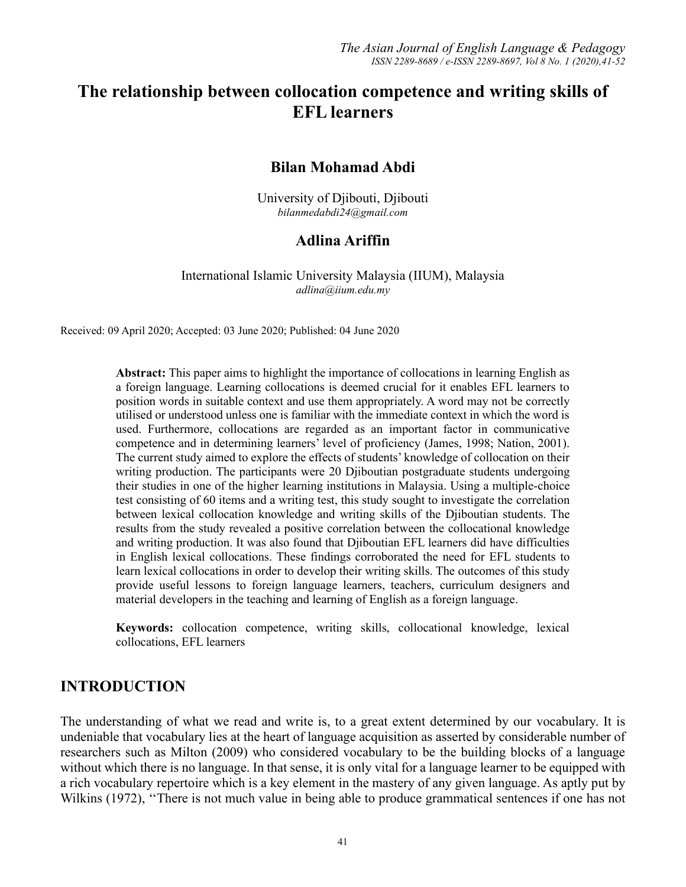# **The relationship between collocation competence and writing skills of EFL learners**

#### **Bilan Mohamad Abdi**

University of Djibouti, Djibouti *bilanmedabdi24@gmail.com*

## **Adlina Ariffin**

International Islamic University Malaysia (IIUM), Malaysia *adlina@iium.edu.my*

Received: 09 April 2020; Accepted: 03 June 2020; Published: 04 June 2020

**Abstract:** This paper aims to highlight the importance of collocations in learning English as a foreign language. Learning collocations is deemed crucial for it enables EFL learners to position words in suitable context and use them appropriately. A word may not be correctly utilised or understood unless one is familiar with the immediate context in which the word is used. Furthermore, collocations are regarded as an important factor in communicative competence and in determining learners' level of proficiency (James, 1998; Nation, 2001). The current study aimed to explore the effects of students' knowledge of collocation on their writing production. The participants were 20 Djiboutian postgraduate students undergoing their studies in one of the higher learning institutions in Malaysia. Using a multiple-choice test consisting of 60 items and a writing test, this study sought to investigate the correlation between lexical collocation knowledge and writing skills of the Djiboutian students. The results from the study revealed a positive correlation between the collocational knowledge and writing production. It was also found that Djiboutian EFL learners did have difficulties in English lexical collocations. These findings corroborated the need for EFL students to learn lexical collocations in order to develop their writing skills. The outcomes of this study provide useful lessons to foreign language learners, teachers, curriculum designers and material developers in the teaching and learning of English as a foreign language.

**Keywords:** collocation competence, writing skills, collocational knowledge, lexical collocations, EFL learners

## **INTRODUCTION**

The understanding of what we read and write is, to a great extent determined by our vocabulary. It is undeniable that vocabulary lies at the heart of language acquisition as asserted by considerable number of researchers such as Milton (2009) who considered vocabulary to be the building blocks of a language without which there is no language. In that sense, it is only vital for a language learner to be equipped with a rich vocabulary repertoire which is a key element in the mastery of any given language. As aptly put by Wilkins (1972), "There is not much value in being able to produce grammatical sentences if one has not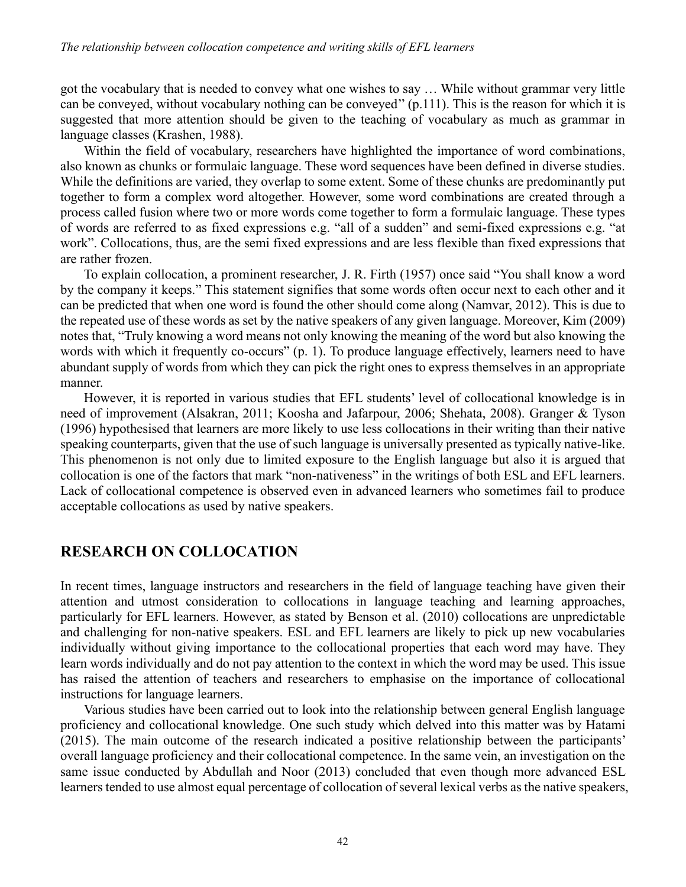got the vocabulary that is needed to convey what one wishes to say … While without grammar very little can be conveyed, without vocabulary nothing can be conveyed'' (p.111). This is the reason for which it is suggested that more attention should be given to the teaching of vocabulary as much as grammar in language classes (Krashen, 1988).

Within the field of vocabulary, researchers have highlighted the importance of word combinations, also known as chunks or formulaic language. These word sequences have been defined in diverse studies. While the definitions are varied, they overlap to some extent. Some of these chunks are predominantly put together to form a complex word altogether. However, some word combinations are created through a process called fusion where two or more words come together to form a formulaic language. These types of words are referred to as fixed expressions e.g. "all of a sudden" and semi-fixed expressions e.g. "at work". Collocations, thus, are the semi fixed expressions and are less flexible than fixed expressions that are rather frozen.

To explain collocation, a prominent researcher, J. R. Firth (1957) once said "You shall know a word by the company it keeps." This statement signifies that some words often occur next to each other and it can be predicted that when one word is found the other should come along (Namvar, 2012). This is due to the repeated use of these words as set by the native speakers of any given language. Moreover, Kim (2009) notes that, "Truly knowing a word means not only knowing the meaning of the word but also knowing the words with which it frequently co-occurs" (p. 1). To produce language effectively, learners need to have abundant supply of words from which they can pick the right ones to express themselves in an appropriate manner.

However, it is reported in various studies that EFL students' level of collocational knowledge is in need of improvement (Alsakran, 2011; Koosha and Jafarpour, 2006; Shehata, 2008). Granger & Tyson (1996) hypothesised that learners are more likely to use less collocations in their writing than their native speaking counterparts, given that the use of such language is universally presented as typically native-like. This phenomenon is not only due to limited exposure to the English language but also it is argued that collocation is one of the factors that mark "non-nativeness" in the writings of both ESL and EFL learners. Lack of collocational competence is observed even in advanced learners who sometimes fail to produce acceptable collocations as used by native speakers.

# **RESEARCH ON COLLOCATION**

In recent times, language instructors and researchers in the field of language teaching have given their attention and utmost consideration to collocations in language teaching and learning approaches, particularly for EFL learners. However, as stated by Benson et al. (2010) collocations are unpredictable and challenging for non-native speakers. ESL and EFL learners are likely to pick up new vocabularies individually without giving importance to the collocational properties that each word may have. They learn words individually and do not pay attention to the context in which the word may be used. This issue has raised the attention of teachers and researchers to emphasise on the importance of collocational instructions for language learners.

Various studies have been carried out to look into the relationship between general English language proficiency and collocational knowledge. One such study which delved into this matter was by Hatami (2015). The main outcome of the research indicated a positive relationship between the participants' overall language proficiency and their collocational competence. In the same vein, an investigation on the same issue conducted by Abdullah and Noor (2013) concluded that even though more advanced ESL learners tended to use almost equal percentage of collocation of several lexical verbs as the native speakers,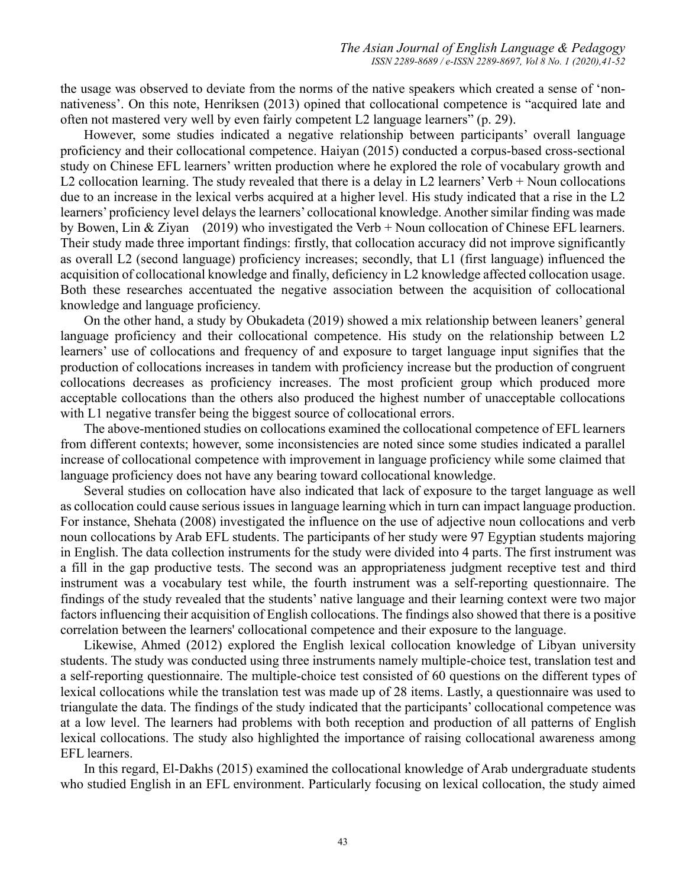the usage was observed to deviate from the norms of the native speakers which created a sense of 'nonnativeness'. On this note, Henriksen (2013) opined that collocational competence is "acquired late and often not mastered very well by even fairly competent L2 language learners" (p. 29).

However, some studies indicated a negative relationship between participants' overall language proficiency and their collocational competence. Haiyan (2015) conducted a corpus-based cross-sectional study on Chinese EFL learners' written production where he explored the role of vocabulary growth and L2 collocation learning. The study revealed that there is a delay in L2 learners' Verb + Noun collocations due to an increase in the lexical verbs acquired at a higher level. His study indicated that a rise in the L2 learners' proficiency level delays the learners' collocational knowledge. Another similar finding was made by Bowen, Lin & Ziyan (2019) who investigated the Verb + Noun collocation of Chinese EFL learners. Their study made three important findings: firstly, that collocation accuracy did not improve significantly as overall L2 (second language) proficiency increases; secondly, that L1 (first language) influenced the acquisition of collocational knowledge and finally, deficiency in L2 knowledge affected collocation usage. Both these researches accentuated the negative association between the acquisition of collocational knowledge and language proficiency.

On the other hand, a study by Obukadeta (2019) showed a mix relationship between leaners' general language proficiency and their collocational competence. His study on the relationship between L2 learners' use of collocations and frequency of and exposure to target language input signifies that the production of collocations increases in tandem with proficiency increase but the production of congruent collocations decreases as proficiency increases. The most proficient group which produced more acceptable collocations than the others also produced the highest number of unacceptable collocations with L1 negative transfer being the biggest source of collocational errors.

The above-mentioned studies on collocations examined the collocational competence of EFL learners from different contexts; however, some inconsistencies are noted since some studies indicated a parallel increase of collocational competence with improvement in language proficiency while some claimed that language proficiency does not have any bearing toward collocational knowledge.

Several studies on collocation have also indicated that lack of exposure to the target language as well as collocation could cause serious issues in language learning which in turn can impact language production. For instance, Shehata (2008) investigated the influence on the use of adjective noun collocations and verb noun collocations by Arab EFL students. The participants of her study were 97 Egyptian students majoring in English. The data collection instruments for the study were divided into 4 parts. The first instrument was a fill in the gap productive tests. The second was an appropriateness judgment receptive test and third instrument was a vocabulary test while, the fourth instrument was a self-reporting questionnaire. The findings of the study revealed that the students' native language and their learning context were two major factors influencing their acquisition of English collocations. The findings also showed that there is a positive correlation between the learners' collocational competence and their exposure to the language.

Likewise, Ahmed (2012) explored the English lexical collocation knowledge of Libyan university students. The study was conducted using three instruments namely multiple-choice test, translation test and a self-reporting questionnaire. The multiple-choice test consisted of 60 questions on the different types of lexical collocations while the translation test was made up of 28 items. Lastly, a questionnaire was used to triangulate the data. The findings of the study indicated that the participants' collocational competence was at a low level. The learners had problems with both reception and production of all patterns of English lexical collocations. The study also highlighted the importance of raising collocational awareness among EFL learners.

In this regard, El-Dakhs (2015) examined the collocational knowledge of Arab undergraduate students who studied English in an EFL environment. Particularly focusing on lexical collocation, the study aimed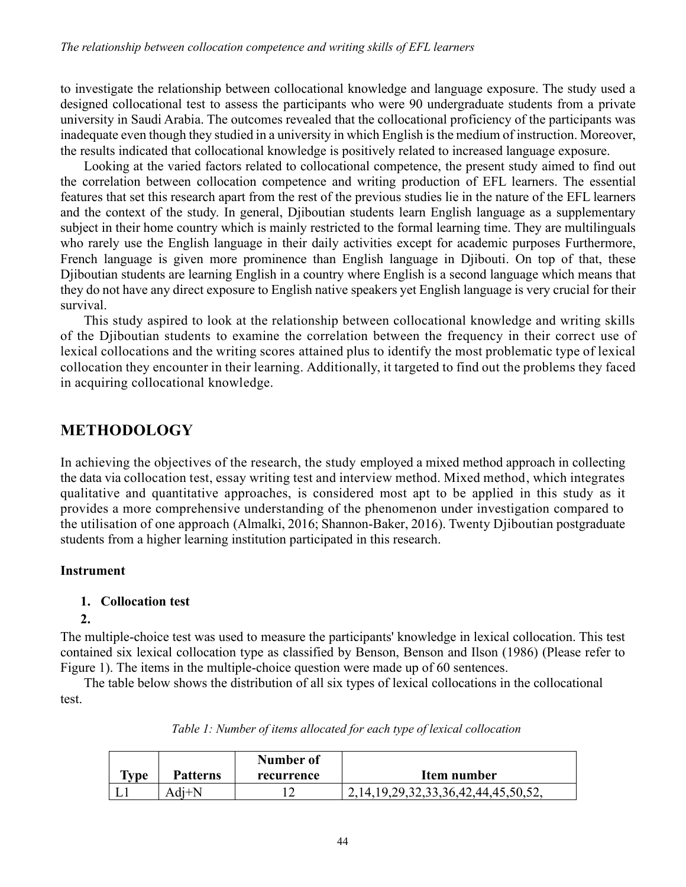to investigate the relationship between collocational knowledge and language exposure. The study used a designed collocational test to assess the participants who were 90 undergraduate students from a private university in Saudi Arabia. The outcomes revealed that the collocational proficiency of the participants was inadequate even though they studied in a university in which English is the medium of instruction. Moreover, the results indicated that collocational knowledge is positively related to increased language exposure.

Looking at the varied factors related to collocational competence, the present study aimed to find out the correlation between collocation competence and writing production of EFL learners. The essential features that set this research apart from the rest of the previous studies lie in the nature of the EFL learners and the context of the study. In general, Djiboutian students learn English language as a supplementary subject in their home country which is mainly restricted to the formal learning time. They are multilinguals who rarely use the English language in their daily activities except for academic purposes Furthermore, French language is given more prominence than English language in Djibouti. On top of that, these Djiboutian students are learning English in a country where English is a second language which means that they do not have any direct exposure to English native speakers yet English language is very crucial for their survival.

This study aspired to look at the relationship between collocational knowledge and writing skills of the Djiboutian students to examine the correlation between the frequency in their correct use of lexical collocations and the writing scores attained plus to identify the most problematic type of lexical collocation they encounter in their learning. Additionally, it targeted to find out the problems they faced in acquiring collocational knowledge.

# **METHODOLOGY**

In achieving the objectives of the research, the study employed a mixed method approach in collecting the data via collocation test, essay writing test and interview method. Mixed method, which integrates qualitative and quantitative approaches, is considered most apt to be applied in this study as it provides a more comprehensive understanding of the phenomenon under investigation compared to the utilisation of one approach (Almalki, 2016; Shannon-Baker, 2016). Twenty Djiboutian postgraduate students from a higher learning institution participated in this research.

## **Instrument**

## **1. Collocation test**

## **2.**

The multiple-choice test was used to measure the participants' knowledge in lexical collocation. This test contained six lexical collocation type as classified by Benson, Benson and Ilson (1986) (Please refer to Figure 1). The items in the multiple-choice question were made up of 60 sentences.

The table below shows the distribution of all six types of lexical collocations in the collocational test.

|         |                 | Number of  |                                                |
|---------|-----------------|------------|------------------------------------------------|
| $T$ vpe | <b>Patterns</b> | recurrence | Item number                                    |
|         | $Adi+N$         |            | 2, 14, 19, 29, 32, 33, 36, 42, 44, 45, 50, 52, |

*Table 1: Number of items allocated for each type of lexical collocation*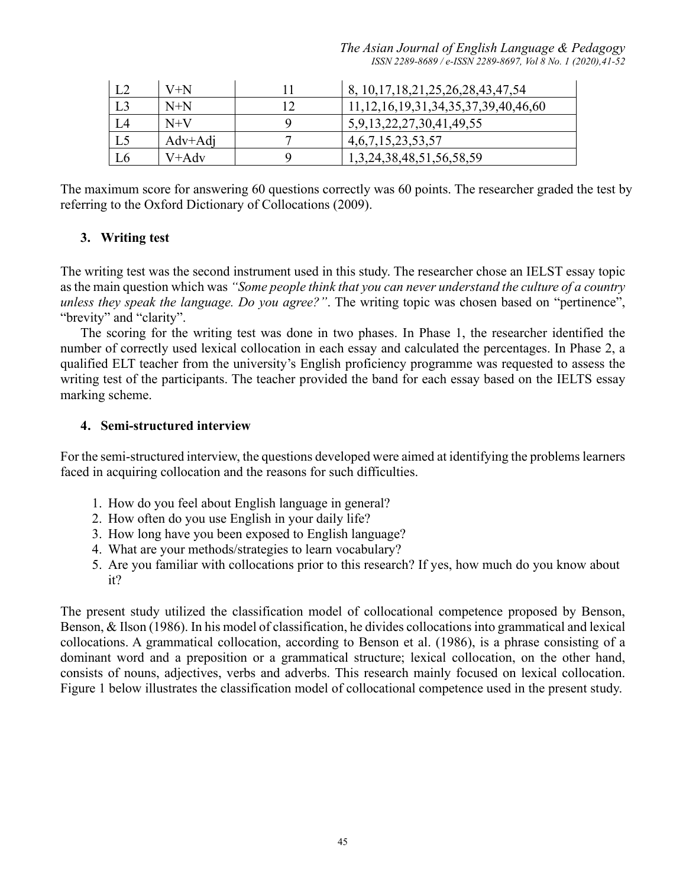*The Asian Journal of English Language & Pedagogy ISSN 2289-8689 / e-ISSN 2289-8697, Vol 8 No. 1 (2020),41-52*

| L2 | $V+N$     | 8, 10, 17, 18, 21, 25, 26, 28, 43, 47, 54      |
|----|-----------|------------------------------------------------|
| L3 | $N+N$     | 11, 12, 16, 19, 31, 34, 35, 37, 39, 40, 46, 60 |
| L4 | $N+V$     | 5,9,13,22,27,30,41,49,55                       |
| L5 | $Adv+Adi$ | 4, 6, 7, 15, 23, 53, 57                        |
| L6 | V+Adv     | 1, 3, 24, 38, 48, 51, 56, 58, 59               |

The maximum score for answering 60 questions correctly was 60 points. The researcher graded the test by referring to the Oxford Dictionary of Collocations (2009).

#### **3. Writing test**

The writing test was the second instrument used in this study. The researcher chose an IELST essay topic as the main question which was *"Some people think that you can never understand the culture of a country unless they speak the language. Do you agree?"*. The writing topic was chosen based on "pertinence", "brevity" and "clarity".

The scoring for the writing test was done in two phases. In Phase 1, the researcher identified the number of correctly used lexical collocation in each essay and calculated the percentages. In Phase 2, a qualified ELT teacher from the university's English proficiency programme was requested to assess the writing test of the participants. The teacher provided the band for each essay based on the IELTS essay marking scheme.

#### **4. Semi-structured interview**

For the semi-structured interview, the questions developed were aimed at identifying the problems learners faced in acquiring collocation and the reasons for such difficulties.

- 1. How do you feel about English language in general?
- 2. How often do you use English in your daily life?
- 3. How long have you been exposed to English language?
- 4. What are your methods/strategies to learn vocabulary?
- 5. Are you familiar with collocations prior to this research? If yes, how much do you know about it?

The present study utilized the classification model of collocational competence proposed by Benson, Benson, & Ilson (1986). In his model of classification, he divides collocations into grammatical and lexical collocations. A grammatical collocation, according to Benson et al. (1986), is a phrase consisting of a dominant word and a preposition or a grammatical structure; lexical collocation, on the other hand, consists of nouns, adjectives, verbs and adverbs. This research mainly focused on lexical collocation. Figure 1 below illustrates the classification model of collocational competence used in the present study.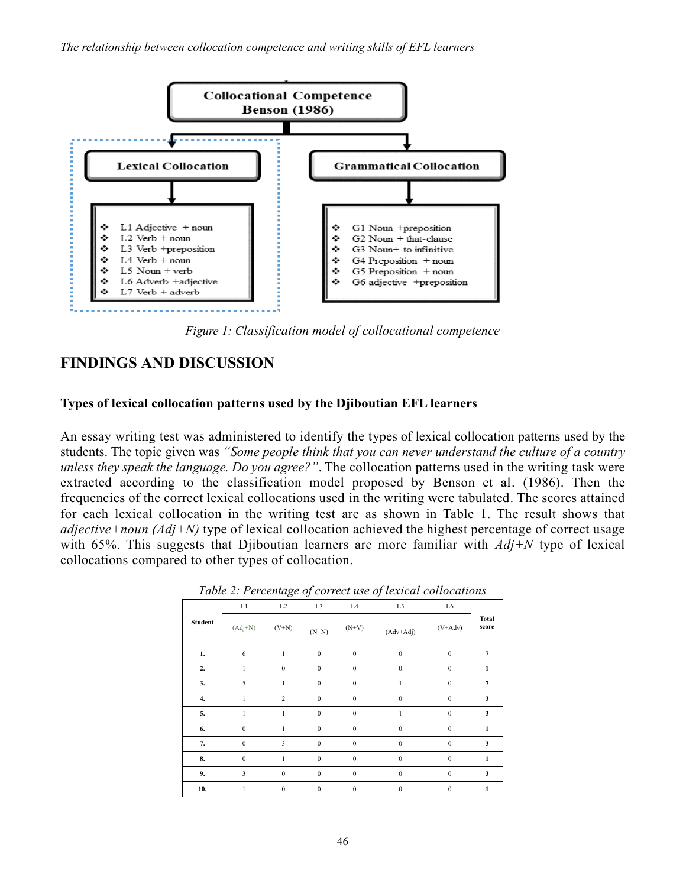

*Figure 1: Classification model of collocational competence*

# **FINDINGS AND DISCUSSION**

#### **Types of lexical collocation patterns used by the Djiboutian EFL learners**

An essay writing test was administered to identify the types of lexical collocation patterns used by the students. The topic given was *"Some people think that you can never understand the culture of a country unless they speak the language. Do you agree?"*. The collocation patterns used in the writing task were extracted according to the classification model proposed by Benson et al. (1986). Then the frequencies of the correct lexical collocations used in the writing were tabulated. The scores attained for each lexical collocation in the writing test are as shown in Table 1. The result shows that *adjective+noun (Adj+N)* type of lexical collocation achieved the highest percentage of correct usage with 65%. This suggests that Djiboutian learners are more familiar with *Adj+N* type of lexical collocations compared to other types of collocation.

|                |              | ັ                | $\checkmark$     |                  | $\checkmark$ |                  |                       |
|----------------|--------------|------------------|------------------|------------------|--------------|------------------|-----------------------|
|                | L1           | L2               | L <sub>3</sub>   | L <sub>4</sub>   | L5           | L6               |                       |
| <b>Student</b> | $(Adj+N)$    | $(V+N)$          | $(N+N)$          | $(N+V)$          | $(Adv+Adj)$  | $(V+Adv)$        | <b>Total</b><br>score |
| 1.             | 6            | 1                | $\boldsymbol{0}$ | $\boldsymbol{0}$ | $\mathbf{0}$ | $\mathbf{0}$     | $\overline{7}$        |
| 2.             |              | $\mathbf{0}$     | $\mathbf{0}$     | $\mathbf{0}$     | $\mathbf{0}$ | $\mathbf{0}$     | 1                     |
| 3.             | 5            | 1                | $\mathbf{0}$     | $\mathbf{0}$     |              | $\mathbf{0}$     | $\overline{7}$        |
| 4.             | $\mathbf{1}$ | $\overline{c}$   | $\boldsymbol{0}$ | $\boldsymbol{0}$ | $\mathbf{0}$ | $\mathbf{0}$     | 3                     |
| 5.             | 1            | 1                | $\boldsymbol{0}$ | $\mathbf{0}$     | 1            | $\mathbf{0}$     | 3                     |
| 6.             | $\mathbf{0}$ | 1                | $\boldsymbol{0}$ | $\mathbf{0}$     | $\mathbf{0}$ | $\mathbf{0}$     | 1                     |
| 7.             | $\mathbf{0}$ | 3                | $\mathbf{0}$     | $\boldsymbol{0}$ | $\mathbf{0}$ | $\mathbf{0}$     | 3                     |
| 8.             | $\mathbf{0}$ |                  | $\boldsymbol{0}$ | $\mathbf{0}$     | $\mathbf{0}$ | $\boldsymbol{0}$ | 1                     |
| 9.             | 3            | $\mathbf{0}$     | $\mathbf{0}$     | $\mathbf{0}$     | $\mathbf{0}$ | $\mathbf{0}$     | 3                     |
| 10.            | 1            | $\boldsymbol{0}$ | $\boldsymbol{0}$ | $\boldsymbol{0}$ | $\mathbf{0}$ | $\mathbf{0}$     | 1                     |

| Table 2: Percentage of correct use of lexical collocations |  |  |
|------------------------------------------------------------|--|--|
|                                                            |  |  |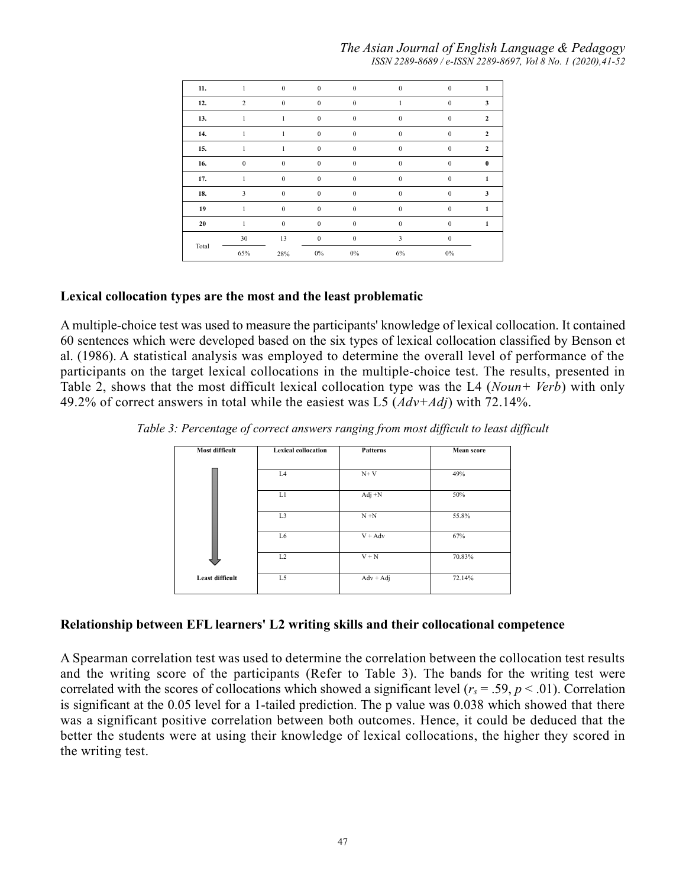#### *The Asian Journal of English Language & Pedagogy ISSN 2289-8689 / e-ISSN 2289-8697, Vol 8 No. 1 (2020),41-52*

| 11.   |                | $\mathbf{0}$     | $\boldsymbol{0}$ | $\boldsymbol{0}$ | $\theta$         | $\mathbf{0}$     |                |
|-------|----------------|------------------|------------------|------------------|------------------|------------------|----------------|
| 12.   | $\overline{2}$ | $\mathbf{0}$     | $\mathbf{0}$     | $\boldsymbol{0}$ |                  | $\mathbf{0}$     | 3              |
| 13.   |                |                  | $\mathbf{0}$     | $\mathbf{0}$     | $\mathbf{0}$     | $\mathbf{0}$     | $\overline{2}$ |
| 14.   | 1              | 1                | $\boldsymbol{0}$ | $\bf{0}$         | $\boldsymbol{0}$ | $\boldsymbol{0}$ | $\mathbf{2}$   |
| 15.   | 1              | 1                | $\boldsymbol{0}$ | $\boldsymbol{0}$ | $\mathbf{0}$     | $\boldsymbol{0}$ | $\mathbf{2}$   |
| 16.   | $\Omega$       | $\mathbf{0}$     | $\boldsymbol{0}$ | $\mathbf{0}$     | $\mathbf{0}$     | $\mathbf{0}$     | $\theta$       |
| 17.   |                | $\mathbf{0}$     | $\mathbf{0}$     | $\mathbf{0}$     | $\Omega$         | $\mathbf{0}$     |                |
| 18.   | 3              | $\theta$         | $\mathbf{0}$     | $\mathbf{0}$     | $\Omega$         | $\mathbf{0}$     | 3              |
| 19    |                | $\mathbf{0}$     | $\boldsymbol{0}$ | $\bf{0}$         | $\mathbf{0}$     | $\bf{0}$         |                |
| 20    |                | $\boldsymbol{0}$ | $\boldsymbol{0}$ | $\boldsymbol{0}$ | $\mathbf{0}$     | $\boldsymbol{0}$ | 1              |
|       | 30             | 13               | $\mathbf{0}$     | $\boldsymbol{0}$ | 3                | $\mathbf{0}$     |                |
| Total | 65%            | 28%              | $0\%$            | $0\%$            | 6%               | $0\%$            |                |

#### **Lexical collocation types are the most and the least problematic**

A multiple-choice test was used to measure the participants' knowledge of lexical collocation. It contained 60 sentences which were developed based on the six types of lexical collocation classified by Benson et al. (1986). A statistical analysis was employed to determine the overall level of performance of the participants on the target lexical collocations in the multiple-choice test. The results, presented in Table 2, shows that the most difficult lexical collocation type was the L4 (*Noun+ Verb*) with only 49.2% of correct answers in total while the easiest was L5 (*Adv+Adj*) with 72.14%.

*Table 3: Percentage of correct answers ranging from most difficult to least difficult*

| Most difficult         | <b>Lexical collocation</b> | Patterns    | <b>Mean</b> score |
|------------------------|----------------------------|-------------|-------------------|
|                        | L4                         | $N+V$       | 49%               |
|                        | L1                         | $Adj +N$    | 50%               |
|                        | L <sub>3</sub>             | $N + N$     | 55.8%             |
|                        | L <sub>6</sub>             | $V + Adv$   | 67%               |
|                        | L2                         | $V + N$     | 70.83%            |
| <b>Least difficult</b> | L5                         | $Adv + Adj$ | 72.14%            |

#### **Relationship between EFL learners' L2 writing skills and their collocational competence**

A Spearman correlation test was used to determine the correlation between the collocation test results and the writing score of the participants (Refer to Table 3). The bands for the writing test were correlated with the scores of collocations which showed a significant level  $(r_s = .59, p < .01)$ . Correlation is significant at the 0.05 level for a 1-tailed prediction. The p value was 0.038 which showed that there was a significant positive correlation between both outcomes. Hence, it could be deduced that the better the students were at using their knowledge of lexical collocations, the higher they scored in the writing test.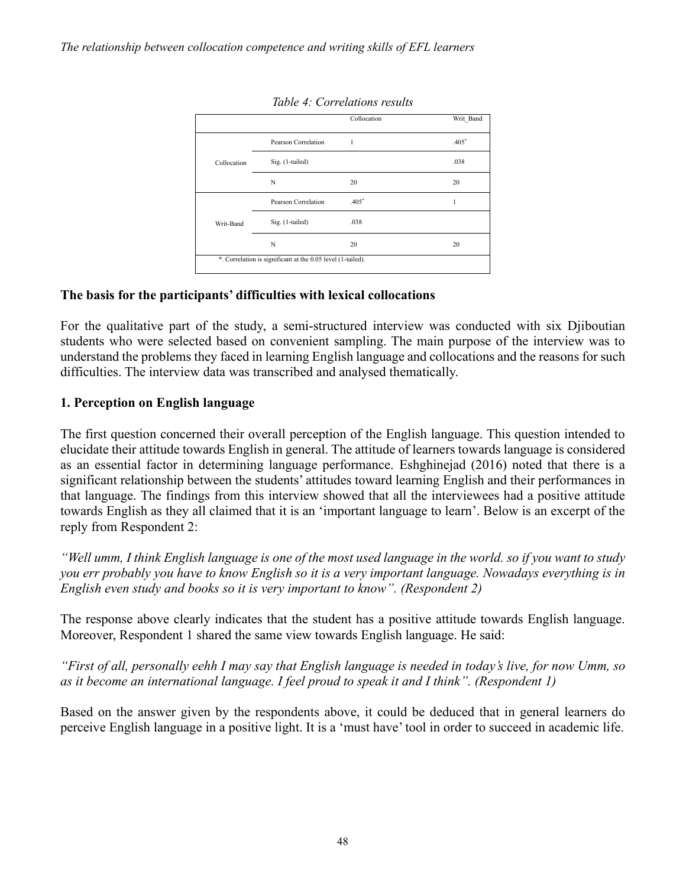|             |                     | Collocation | Writ Band |
|-------------|---------------------|-------------|-----------|
|             | Pearson Correlation | 1           | $.405*$   |
| Collocation | Sig. (1-tailed)     |             | .038      |
|             | N                   | 20          | 20        |
|             | Pearson Correlation | $.405*$     | 1         |
| Writ-Band   | Sig. (1-tailed)     | .038        |           |
|             | N                   | 20          | 20        |

*Table 4: Correlations results*

#### **The basis for the participants' difficulties with lexical collocations**

For the qualitative part of the study, a semi-structured interview was conducted with six Djiboutian students who were selected based on convenient sampling. The main purpose of the interview was to understand the problems they faced in learning English language and collocations and the reasons for such difficulties. The interview data was transcribed and analysed thematically.

#### **1. Perception on English language**

The first question concerned their overall perception of the English language. This question intended to elucidate their attitude towards English in general. The attitude of learners towards language is considered as an essential factor in determining language performance. Eshghinejad (2016) noted that there is a significant relationship between the students' attitudes toward learning English and their performances in that language. The findings from this interview showed that all the interviewees had a positive attitude towards English as they all claimed that it is an 'important language to learn'. Below is an excerpt of the reply from Respondent 2:

*"Well umm, I think English language is one of the most used language in the world. so if you want to study you err probably you have to know English so it is a very important language. Nowadays everything is in English even study and books so it is very important to know". (Respondent 2)*

The response above clearly indicates that the student has a positive attitude towards English language. Moreover, Respondent 1 shared the same view towards English language. He said:

*"First of all, personally eehh I may say that English language is needed in today's live, for now Umm, so as it become an international language. I feel proud to speak it and I think". (Respondent 1)*

Based on the answer given by the respondents above, it could be deduced that in general learners do perceive English language in a positive light. It is a 'must have' tool in order to succeed in academic life.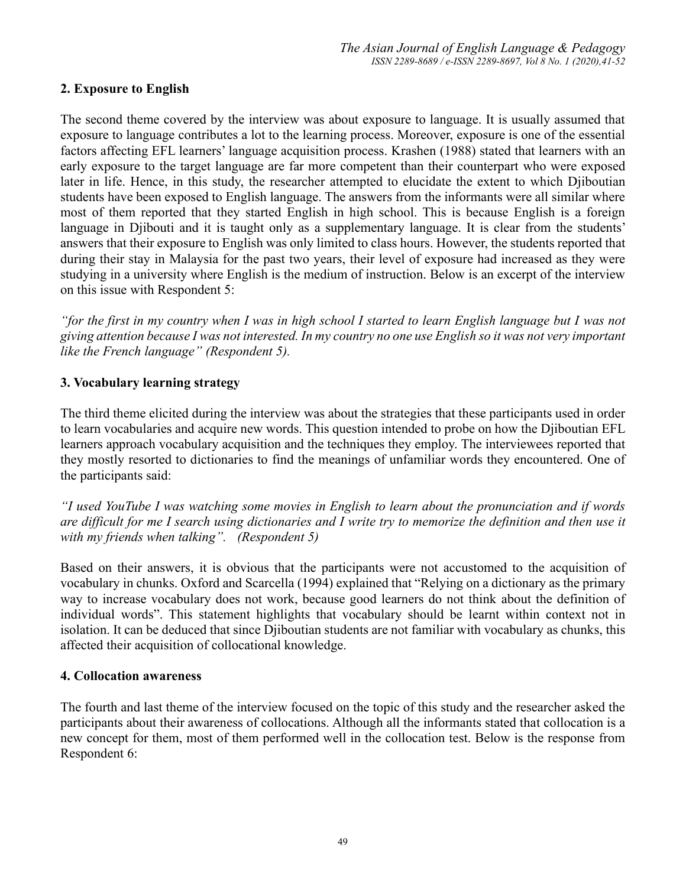#### **2. Exposure to English**

The second theme covered by the interview was about exposure to language. It is usually assumed that exposure to language contributes a lot to the learning process. Moreover, exposure is one of the essential factors affecting EFL learners' language acquisition process. Krashen (1988) stated that learners with an early exposure to the target language are far more competent than their counterpart who were exposed later in life. Hence, in this study, the researcher attempted to elucidate the extent to which Djiboutian students have been exposed to English language. The answers from the informants were all similar where most of them reported that they started English in high school. This is because English is a foreign language in Djibouti and it is taught only as a supplementary language. It is clear from the students' answers that their exposure to English was only limited to class hours. However, the students reported that during their stay in Malaysia for the past two years, their level of exposure had increased as they were studying in a university where English is the medium of instruction. Below is an excerpt of the interview on this issue with Respondent 5:

*"for the first in my country when I was in high school I started to learn English language but I was not giving attention because I was not interested. In my country no one use English so it was not very important like the French language" (Respondent 5).*

#### **3. Vocabulary learning strategy**

The third theme elicited during the interview was about the strategies that these participants used in order to learn vocabularies and acquire new words. This question intended to probe on how the Djiboutian EFL learners approach vocabulary acquisition and the techniques they employ. The interviewees reported that they mostly resorted to dictionaries to find the meanings of unfamiliar words they encountered. One of the participants said:

*"I used YouTube I was watching some movies in English to learn about the pronunciation and if words are difficult for me I search using dictionaries and I write try to memorize the definition and then use it with my friends when talking". (Respondent 5)*

Based on their answers, it is obvious that the participants were not accustomed to the acquisition of vocabulary in chunks. Oxford and Scarcella (1994) explained that "Relying on a dictionary as the primary way to increase vocabulary does not work, because good learners do not think about the definition of individual words". This statement highlights that vocabulary should be learnt within context not in isolation. It can be deduced that since Djiboutian students are not familiar with vocabulary as chunks, this affected their acquisition of collocational knowledge.

#### **4. Collocation awareness**

The fourth and last theme of the interview focused on the topic of this study and the researcher asked the participants about their awareness of collocations. Although all the informants stated that collocation is a new concept for them, most of them performed well in the collocation test. Below is the response from Respondent 6: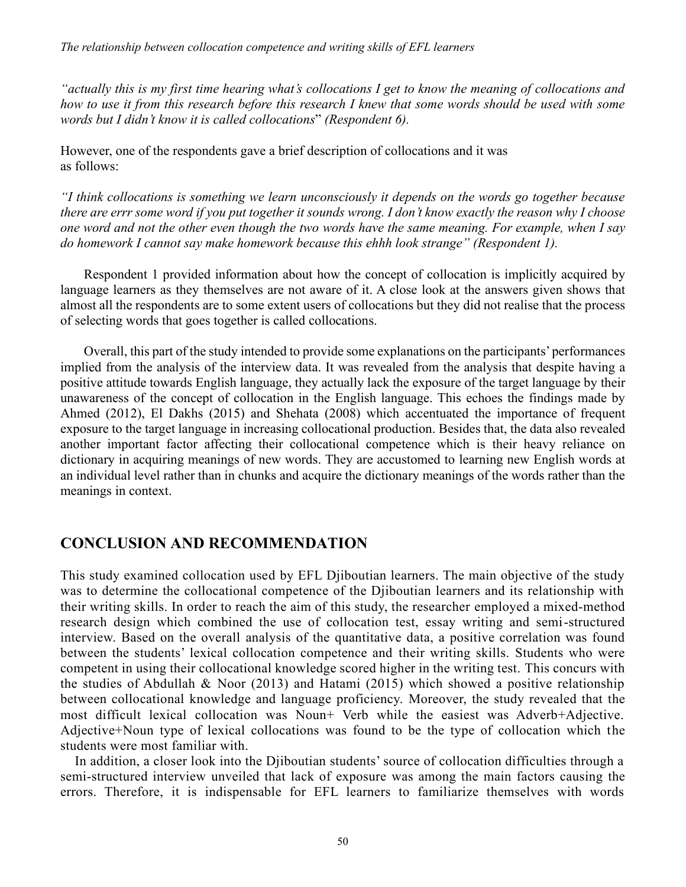*"actually this is my first time hearing what's collocations I get to know the meaning of collocations and how to use it from this research before this research I knew that some words should be used with some words but I didn't know it is called collocations*" *(Respondent 6).*

However, one of the respondents gave a brief description of collocations and it was as follows:

*"I think collocations is something we learn unconsciously it depends on the words go together because there are errr some word if you put together it sounds wrong. I don't know exactly the reason why I choose one word and not the other even though the two words have the same meaning. For example, when I say do homework I cannot say make homework because this ehhh look strange" (Respondent 1).* 

Respondent 1 provided information about how the concept of collocation is implicitly acquired by language learners as they themselves are not aware of it. A close look at the answers given shows that almost all the respondents are to some extent users of collocations but they did not realise that the process of selecting words that goes together is called collocations.

Overall, this part of the study intended to provide some explanations on the participants' performances implied from the analysis of the interview data. It was revealed from the analysis that despite having a positive attitude towards English language, they actually lack the exposure of the target language by their unawareness of the concept of collocation in the English language. This echoes the findings made by Ahmed (2012), El Dakhs (2015) and Shehata (2008) which accentuated the importance of frequent exposure to the target language in increasing collocational production. Besides that, the data also revealed another important factor affecting their collocational competence which is their heavy reliance on dictionary in acquiring meanings of new words. They are accustomed to learning new English words at an individual level rather than in chunks and acquire the dictionary meanings of the words rather than the meanings in context.

# **CONCLUSION AND RECOMMENDATION**

This study examined collocation used by EFL Djiboutian learners. The main objective of the study was to determine the collocational competence of the Djiboutian learners and its relationship with their writing skills. In order to reach the aim of this study, the researcher employed a mixed-method research design which combined the use of collocation test, essay writing and semi-structured interview. Based on the overall analysis of the quantitative data, a positive correlation was found between the students' lexical collocation competence and their writing skills. Students who were competent in using their collocational knowledge scored higher in the writing test. This concurs with the studies of Abdullah & Noor (2013) and Hatami (2015) which showed a positive relationship between collocational knowledge and language proficiency. Moreover, the study revealed that the most difficult lexical collocation was Noun+ Verb while the easiest was Adverb+Adjective. Adjective+Noun type of lexical collocations was found to be the type of collocation which the students were most familiar with.

 In addition, a closer look into the Djiboutian students' source of collocation difficulties through a semi-structured interview unveiled that lack of exposure was among the main factors causing the errors. Therefore, it is indispensable for EFL learners to familiarize themselves with words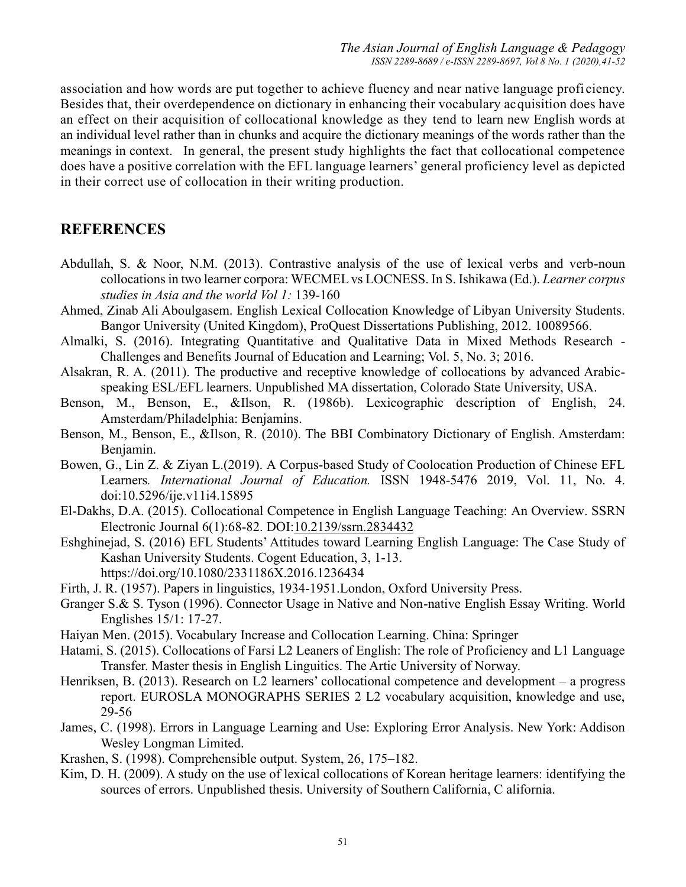association and how words are put together to achieve fluency and near native language profi ciency. Besides that, their overdependence on dictionary in enhancing their vocabulary acquisition does have an effect on their acquisition of collocational knowledge as they tend to learn new English words at an individual level rather than in chunks and acquire the dictionary meanings of the words rather than the meanings in context. In general, the present study highlights the fact that collocational competence does have a positive correlation with the EFL language learners' general proficiency level as depicted in their correct use of collocation in their writing production.

# **REFERENCES**

- Abdullah, S. & Noor, N.M. (2013). Contrastive analysis of the use of lexical verbs and verb-noun collocations in two learner corpora: WECMEL vs LOCNESS. In S. Ishikawa (Ed.). *Learner corpus studies in Asia and the world Vol 1:* 139-160
- Ahmed, Zinab Ali Aboulgasem. English Lexical Collocation Knowledge of Libyan University Students. Bangor University (United Kingdom), ProQuest Dissertations Publishing, 2012. 10089566.
- Almalki, S. (2016). Integrating Quantitative and Qualitative Data in Mixed Methods Research Challenges and Benefits Journal of Education and Learning; Vol. 5, No. 3; 2016.
- Alsakran, R. A. (2011). The productive and receptive knowledge of collocations by advanced Arabicspeaking ESL/EFL learners. Unpublished MA dissertation, Colorado State University, USA.
- Benson, M., Benson, E., &Ilson, R. (1986b). Lexicographic description of English, 24. Amsterdam/Philadelphia: Benjamins.
- Benson, M., Benson, E., &Ilson, R. (2010). The BBI Combinatory Dictionary of English. Amsterdam: Benjamin.
- Bowen, G., Lin Z. & Ziyan L.(2019). A Corpus-based Study of Coolocation Production of Chinese EFL Learners*. International Journal of Education.* ISSN 1948-5476 2019, Vol. 11, No. 4. doi:10.5296/ije.v11i4.15895
- El-Dakhs, D.A. (2015). Collocational Competence in English Language Teaching: An Overview. SSRN Electronic Journal 6(1):68-82. DOI[:10.2139/ssrn.2834432](https://www.researchgate.net/deref/http%3A%2F%2Fdx.doi.org%2F10.2139%2Fssrn.2834432?_sg%5B0%5D=B9gDfH8R8XN6QraHaOKv2Nnvemq2yc8X0BVLBM1xKNNPG70MnXfC_xA7b7jWCWwCNij3RVllwnqQwcdYRA4KjaVYLg.X5HYXpxyF1FLeUkfeefwSl3p-zcy_NvH8qaJ8BUcintcVxmCWTkOvIBrw6haN2phzpFBZfJ8EOKTo0KGPWZV_A)
- Eshghinejad, S. (2016) EFL Students' Attitudes toward Learning English Language: The Case Study of Kashan University Students. Cogent Education, 3, 1-13. https://doi.org/10.1080/2331186X.2016.1236434
- Firth, J. R. (1957). Papers in linguistics, 1934-1951.London, Oxford University Press.
- Granger S.& S. Tyson (1996). Connector Usage in Native and Non-native English Essay Writing. World Englishes 15/1: 17-27.
- Haiyan Men. (2015). Vocabulary Increase and Collocation Learning. China: Springer
- Hatami, S. (2015). Collocations of Farsi L2 Leaners of English: The role of Proficiency and L1 Language Transfer. Master thesis in English Linguitics. The Artic University of Norway.
- Henriksen, B. (2013). Research on L2 learners' collocational competence and development a progress report. EUROSLA MONOGRAPHS SERIES 2 L2 vocabulary acquisition, knowledge and use, 29-56
- James, C. (1998). Errors in Language Learning and Use: Exploring Error Analysis. New York: Addison Wesley Longman Limited.
- Krashen, S. (1998). Comprehensible output. System, 26, 175–182.
- Kim, D. H. (2009). A study on the use of lexical collocations of Korean heritage learners: identifying the sources of errors. Unpublished thesis. University of Southern California, C alifornia.